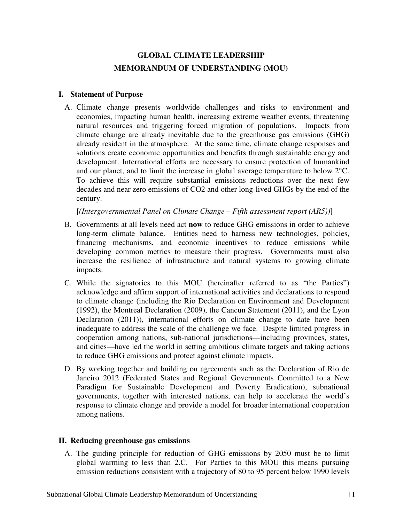# **GLOBAL CLIMATE LEADERSHIP MEMORANDUM OF UNDERSTANDING (MOU)**

### **I. Statement of Purpose**

A. Climate change presents worldwide challenges and risks to environment and economies, impacting human health, increasing extreme weather events, threatening natural resources and triggering forced migration of populations. Impacts from climate change are already inevitable due to the greenhouse gas emissions (GHG) already resident in the atmosphere. At the same time, climate change responses and solutions create economic opportunities and benefits through sustainable energy and development. International efforts are necessary to ensure protection of humankind and our planet, and to limit the increase in global average temperature to below 2°C. To achieve this will require substantial emissions reductions over the next few decades and near zero emissions of CO2 and other long-lived GHGs by the end of the century.

[*(Intergovernmental Panel on Climate Change – Fifth assessment report (AR5))*]

- B. Governments at all levels need act **now** to reduce GHG emissions in order to achieve long-term climate balance. Entities need to harness new technologies, policies, financing mechanisms, and economic incentives to reduce emissions while developing common metrics to measure their progress. Governments must also increase the resilience of infrastructure and natural systems to growing climate impacts.
- C. While the signatories to this MOU (hereinafter referred to as "the Parties") acknowledge and affirm support of international activities and declarations to respond to climate change (including the Rio Declaration on Environment and Development (1992), the Montreal Declaration (2009), the Cancun Statement (2011), and the Lyon Declaration (2011)), international efforts on climate change to date have been inadequate to address the scale of the challenge we face. Despite limited progress in cooperation among nations, sub-national jurisdictions—including provinces, states, and cities—have led the world in setting ambitious climate targets and taking actions to reduce GHG emissions and protect against climate impacts.
- D. By working together and building on agreements such as the Declaration of Rio de Janeiro 2012 (Federated States and Regional Governments Committed to a New Paradigm for Sustainable Development and Poverty Eradication), subnational governments, together with interested nations, can help to accelerate the world's response to climate change and provide a model for broader international cooperation among nations.

### **II. Reducing greenhouse gas emissions**

A. The guiding principle for reduction of GHG emissions by 2050 must be to limit global warming to less than 2.C. For Parties to this MOU this means pursuing emission reductions consistent with a trajectory of 80 to 95 percent below 1990 levels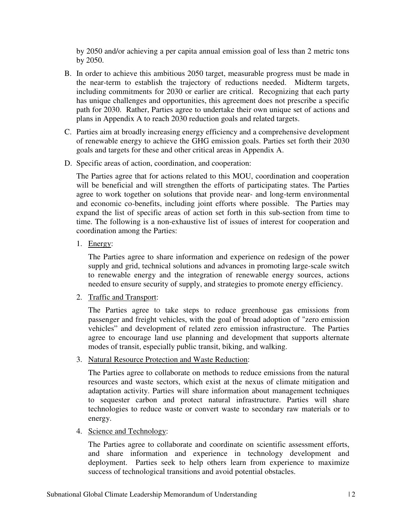by 2050 and/or achieving a per capita annual emission goal of less than 2 metric tons by 2050.

- B. In order to achieve this ambitious 2050 target, measurable progress must be made in the near-term to establish the trajectory of reductions needed. Midterm targets, including commitments for 2030 or earlier are critical. Recognizing that each party has unique challenges and opportunities, this agreement does not prescribe a specific path for 2030. Rather, Parties agree to undertake their own unique set of actions and plans in Appendix A to reach 2030 reduction goals and related targets.
- C. Parties aim at broadly increasing energy efficiency and a comprehensive development of renewable energy to achieve the GHG emission goals. Parties set forth their 2030 goals and targets for these and other critical areas in Appendix A.
- D. Specific areas of action, coordination, and cooperation:

The Parties agree that for actions related to this MOU, coordination and cooperation will be beneficial and will strengthen the efforts of participating states. The Parties agree to work together on solutions that provide near- and long-term environmental and economic co-benefits, including joint efforts where possible. The Parties may expand the list of specific areas of action set forth in this sub-section from time to time. The following is a non-exhaustive list of issues of interest for cooperation and coordination among the Parties:

1. Energy:

The Parties agree to share information and experience on redesign of the power supply and grid, technical solutions and advances in promoting large-scale switch to renewable energy and the integration of renewable energy sources, actions needed to ensure security of supply, and strategies to promote energy efficiency.

2. Traffic and Transport:

The Parties agree to take steps to reduce greenhouse gas emissions from passenger and freight vehicles, with the goal of broad adoption of "zero emission vehicles" and development of related zero emission infrastructure. The Parties agree to encourage land use planning and development that supports alternate modes of transit, especially public transit, biking, and walking.

3. Natural Resource Protection and Waste Reduction:

The Parties agree to collaborate on methods to reduce emissions from the natural resources and waste sectors, which exist at the nexus of climate mitigation and adaptation activity. Parties will share information about management techniques to sequester carbon and protect natural infrastructure. Parties will share technologies to reduce waste or convert waste to secondary raw materials or to energy.

4. Science and Technology:

The Parties agree to collaborate and coordinate on scientific assessment efforts, and share information and experience in technology development and deployment. Parties seek to help others learn from experience to maximize success of technological transitions and avoid potential obstacles.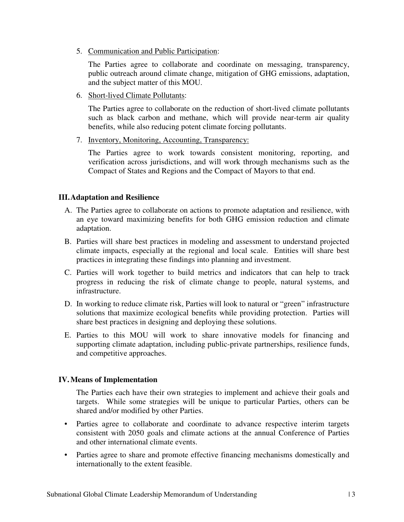5. Communication and Public Participation:

The Parties agree to collaborate and coordinate on messaging, transparency, public outreach around climate change, mitigation of GHG emissions, adaptation, and the subject matter of this MOU.

6. Short-lived Climate Pollutants:

The Parties agree to collaborate on the reduction of short-lived climate pollutants such as black carbon and methane, which will provide near-term air quality benefits, while also reducing potent climate forcing pollutants.

7. Inventory, Monitoring, Accounting, Transparency:

The Parties agree to work towards consistent monitoring, reporting, and verification across jurisdictions, and will work through mechanisms such as the Compact of States and Regions and the Compact of Mayors to that end.

# **III.Adaptation and Resilience**

- A. The Parties agree to collaborate on actions to promote adaptation and resilience, with an eye toward maximizing benefits for both GHG emission reduction and climate adaptation.
- B. Parties will share best practices in modeling and assessment to understand projected climate impacts, especially at the regional and local scale. Entities will share best practices in integrating these findings into planning and investment.
- C. Parties will work together to build metrics and indicators that can help to track progress in reducing the risk of climate change to people, natural systems, and infrastructure.
- D. In working to reduce climate risk, Parties will look to natural or "green" infrastructure solutions that maximize ecological benefits while providing protection. Parties will share best practices in designing and deploying these solutions.
- E. Parties to this MOU will work to share innovative models for financing and supporting climate adaptation, including public-private partnerships, resilience funds, and competitive approaches.

# **IV.Means of Implementation**

The Parties each have their own strategies to implement and achieve their goals and targets. While some strategies will be unique to particular Parties, others can be shared and/or modified by other Parties.

- Parties agree to collaborate and coordinate to advance respective interim targets consistent with 2050 goals and climate actions at the annual Conference of Parties and other international climate events.
- Parties agree to share and promote effective financing mechanisms domestically and internationally to the extent feasible.